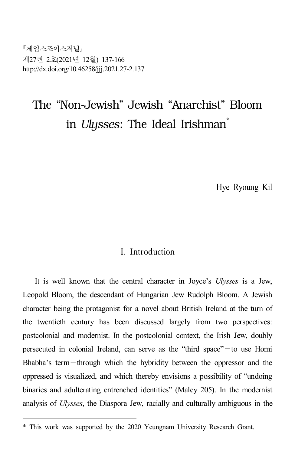제임스조이스저널 제27권 2호(2021년 12월) 137-166 http://dx.doi.org/10.46258/jjj.2021.27-2.137

# The "Non-Jewish" Jewish "Anarchist" Bloom in *Ulysses*: The Ideal Irishman<sup>\*</sup>

Hye Ryoung Kil

## I. Introduction

It is well known that the central character in Joyce's *Ulysses* is a Jew, Leopold Bloom, the descendant of Hungarian Jew Rudolph Bloom. A Jewish character being the protagonist for a novel about British Ireland at the turn of the twentieth century has been discussed largely from two perspectives: postcolonial and modernist. In the postcolonial context, the Irish Jew, doubly persecuted in colonial Ireland, can serve as the "third space"—to use Homi Bhabha's term—through which the hybridity between the oppressor and the oppressed is visualized, and which thereby envisions a possibility of "undoing binaries and adulterating entrenched identities" (Maley 205). In the modernist analysis of *Ulysses*, the Diaspora Jew, racially and culturally ambiguous in the

<sup>\*</sup> This work was supported by the 2020 Yeungnam University Research Grant.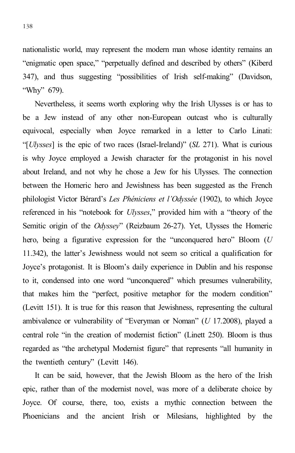nationalistic world, may represent the modern man whose identity remains an "enigmatic open space," "perpetually defined and described by others" (Kiberd 347), and thus suggesting "possibilities of Irish self-making" (Davidson, "Why" 679).

Nevertheless, it seems worth exploring why the Irish Ulysses is or has to be a Jew instead of any other non-European outcast who is culturally equivocal, especially when Joyce remarked in a letter to Carlo Linati: "[*Ulysses*] is the epic of two races (Israel-Ireland)" (*SL* 271). What is curious is why Joyce employed a Jewish character for the protagonist in his novel about Ireland, and not why he chose a Jew for his Ulysses. The connection between the Homeric hero and Jewishness has been suggested as the French philologist Victor Bérard's *Les Phéniciens et l'Odyssée* (1902), to which Joyce referenced in his "notebook for *Ulysses*," provided him with a "theory of the Semitic origin of the *Odyssey*" (Reizbaum 26-27). Yet, Ulysses the Homeric hero, being a figurative expression for the "unconquered hero" Bloom (*U* 11.342), the latter's Jewishness would not seem so critical a qualification for Joyce's protagonist. It is Bloom's daily experience in Dublin and his response to it, condensed into one word "unconquered" which presumes vulnerability, that makes him the "perfect, positive metaphor for the modern condition" (Levitt 151). It is true for this reason that Jewishness, representing the cultural ambivalence or vulnerability of "Everyman or Noman" (*U* 17.2008), played a central role "in the creation of modernist fiction" (Linett 250). Bloom is thus regarded as "the archetypal Modernist figure" that represents "all humanity in the twentieth century" (Levitt 146).

It can be said, however, that the Jewish Bloom as the hero of the Irish epic, rather than of the modernist novel, was more of a deliberate choice by Joyce. Of course, there, too, exists a mythic connection between the Phoenicians and the ancient Irish or Milesians, highlighted by the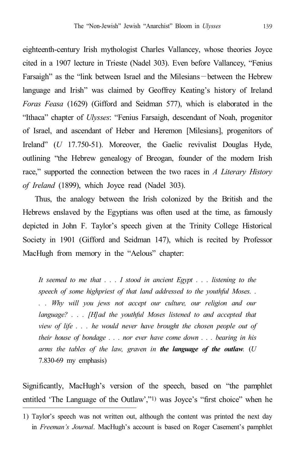eighteenth-century Irish mythologist Charles Vallancey, whose theories Joyce cited in a 1907 lecture in Trieste (Nadel 303). Even before Vallancey, "Fenius Farsaigh" as the "link between Israel and the Milesians—between the Hebrew language and Irish" was claimed by Geoffrey Keating's history of Ireland *Foras Feasa* (1629) (Gifford and Seidman 577), which is elaborated in the "Ithaca" chapter of *Ulysses*: "Fenius Farsaigh, descendant of Noah, progenitor of Israel, and ascendant of Heber and Heremon [Milesians], progenitors of Ireland" (*U* 17.750-51). Moreover, the Gaelic revivalist Douglas Hyde, outlining "the Hebrew genealogy of Breogan, founder of the modern Irish race," supported the connection between the two races in *A Literary History of Ireland* (1899), which Joyce read (Nadel 303).

Thus, the analogy between the Irish colonized by the British and the Hebrews enslaved by the Egyptians was often used at the time, as famously depicted in John F. Taylor's speech given at the Trinity College Historical Society in 1901 (Gifford and Seidman 147), which is recited by Professor MacHugh from memory in the "Aelous" chapter:

*It seemed to me that . . . I stood in ancient Egypt . . . listening to the speech of some highpriest of that land addressed to the youthful Moses. . . . Why will you jews not accept our culture, our religion and our language? . . . [H]ad the youthful Moses listened to and accepted that view of life . . . he would never have brought the chosen people out of their house of bondage . . . nor ever have come down . . . bearing in his arms the tables of the law, graven in the language of the outlaw.* (*U* 7.830-69 my emphasis)

Significantly, MacHugh's version of the speech, based on "the pamphlet entitled 'The Language of the Outlaw',"1) was Joyce's "first choice" when he

<sup>1)</sup> Taylor's speech was not written out, although the content was printed the next day in *Freeman's Journal*. MacHugh's account is based on Roger Casement's pamphlet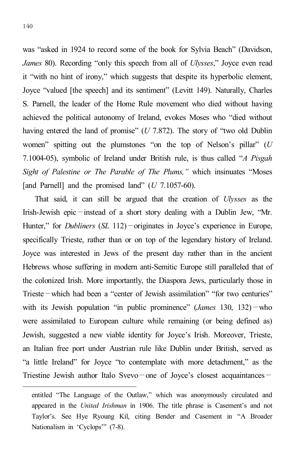was "asked in 1924 to record some of the book for Sylvia Beach" (Davidson, *James* 80). Recording "only this speech from all of *Ulysses*," Joyce even read it "with no hint of irony," which suggests that despite its hyperbolic element, Joyce "valued [the speech] and its sentiment" (Levitt 149). Naturally, Charles S. Parnell, the leader of the Home Rule movement who died without having achieved the political autonomy of Ireland, evokes Moses who "died without having entered the land of promise" (*U* 7.872). The story of "two old Dublin women" spitting out the plumstones "on the top of Nelson's pillar" (*U* 7.1004-05), symbolic of Ireland under British rule, is thus called "*A Pisgah Sight of Palestine or The Parable of The Plums,"* which insinuates "Moses [and Parnell] and the promised land" (*U* 7.1057-60).

That said, it can still be argued that the creation of *Ulysses* as the Irish-Jewish epic—instead of a short story dealing with a Dublin Jew, "Mr. Hunter," for *Dubliners* (*SL* 112)—originates in Joyce's experience in Europe, specifically Trieste, rather than or on top of the legendary history of Ireland. Joyce was interested in Jews of the present day rather than in the ancient Hebrews whose suffering in modern anti-Semitic Europe still paralleled that of the colonized Irish. More importantly, the Diaspora Jews, particularly those in Trieste—which had been a "center of Jewish assimilation" "for two centuries" with its Jewish population "in public prominence" (*James* 130, 132)—who were assimilated to European culture while remaining (or being defined as) Jewish, suggested a new viable identity for Joyce's Irish. Moreover, Trieste, an Italian free port under Austrian rule like Dublin under British, served as "a little Ireland" for Joyce "to contemplate with more detachment," as the Triestine Jewish author Italo Svevo—one of Joyce's closest acquaintances—

entitled "The Language of the Outlaw," which was anonymously circulated and appeared in the *United Irishman* in 1906. The title phrase is Casement's and not Taylor's. See Hye Ryoung Kil, citing Bender and Casement in "A Broader Nationalism in 'Cyclops'" (7-8).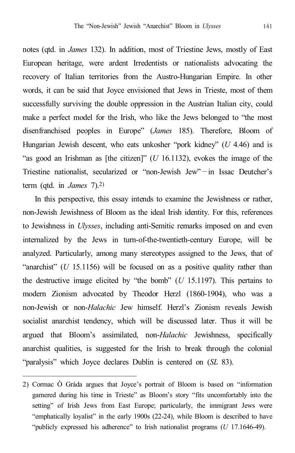notes (qtd. in *James* 132). In addition, most of Triestine Jews, mostly of East European heritage, were ardent Irredentists or nationalists advocating the recovery of Italian territories from the Austro-Hungarian Empire. In other words, it can be said that Joyce envisioned that Jews in Trieste, most of them successfully surviving the double oppression in the Austrian Italian city, could make a perfect model for the Irish, who like the Jews belonged to "the most disenfranchised peoples in Europe" (*James* 185). Therefore, Bloom of Hungarian Jewish descent, who eats unkosher "pork kidney" (*U* 4.46) and is "as good an Irishman as [the citizen]" (*U* 16.1132), evokes the image of the Triestine nationalist, secularized or "non-Jewish Jew"—in Issac Deutcher's term (qtd. in *James* 7). 2)

In this perspective, this essay intends to examine the Jewishness or rather, non-Jewish Jewishness of Bloom as the ideal Irish identity. For this, references to Jewishness in *Ulysses*, including anti-Semitic remarks imposed on and even internalized by the Jews in turn-of-the-twentieth-century Europe, will be analyzed. Particularly, among many stereotypes assigned to the Jews, that of "anarchist" (*U* 15.1156) will be focused on as a positive quality rather than the destructive image elicited by "the bomb" (*U* 15.1197). This pertains to modern Zionism advocated by Theodor Herzl (1860-1904), who was a non-Jewish or non-*Halachic* Jew himself. Herzl's Zionism reveals Jewish socialist anarchist tendency, which will be discussed later. Thus it will be argued that Bloom's assimilated, non-*Halachic* Jewishness, specifically anarchist qualities, is suggested for the Irish to break through the colonial "paralysis" which Joyce declares Dublin is centered on (*SL* 83).

<sup>2)</sup> Cormac Ó Gráda argues that Joyce's portrait of Bloom is based on "information garnered during his time in Trieste" as Bloom's story "fits uncomfortably into the setting" of Irish Jews from East Europe; particularly, the immigrant Jews were "emphatically loyalist" in the early 1900s (22-24), while Bloom is described to have "publicly expressed his adherence" to Irish nationalist programs (*U* 17.1646-49).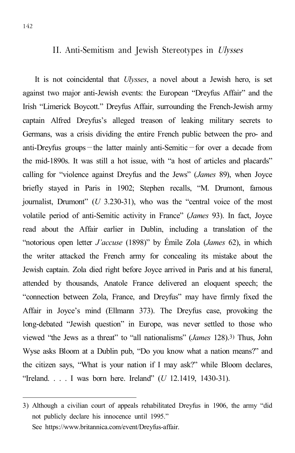#### II. Anti-Semitism and Jewish Stereotypes in Ulysses

It is not coincidental that *Ulysses*, a novel about a Jewish hero, is set against two major anti-Jewish events: the European "Dreyfus Affair" and the Irish "Limerick Boycott." Dreyfus Affair, surrounding the French-Jewish army captain Alfred Dreyfus's alleged treason of leaking military secrets to Germans, was a crisis dividing the entire French public between the pro- and anti-Dreyfus groups—the latter mainly anti-Semitic—for over a decade from the mid-1890s. It was still a hot issue, with "a host of articles and placards" calling for "violence against Dreyfus and the Jews" (*James* 89), when Joyce briefly stayed in Paris in 1902; Stephen recalls, "M. Drumont, famous journalist, Drumont" (*U* 3.230-31), who was the "central voice of the most volatile period of anti-Semitic activity in France" (*James* 93). In fact, Joyce read about the Affair earlier in Dublin, including a translation of the "notorious open letter *J'accuse* (1898)" by Émile Zola (*James* 62), in which the writer attacked the French army for concealing its mistake about the Jewish captain. Zola died right before Joyce arrived in Paris and at his funeral, attended by thousands, Anatole France delivered an eloquent speech; the "connection between Zola, France, and Dreyfus" may have firmly fixed the Affair in Joyce's mind (Ellmann 373). The Dreyfus case, provoking the long-debated "Jewish question" in Europe, was never settled to those who viewed "the Jews as a threat" to "all nationalisms" (*James* 128). 3) Thus, John Wyse asks Bloom at a Dublin pub, "Do you know what a nation means?" and the citizen says, "What is your nation if I may ask?" while Bloom declares, "Ireland. . . . I was born here. Ireland" (*U* 12.1419, 1430-31).

<sup>3)</sup> Although a civilian court of appeals rehabilitated Dreyfus in 1906, the army "did not publicly declare his innocence until 1995." See https://www.britannica.com/event/Dreyfus-affair.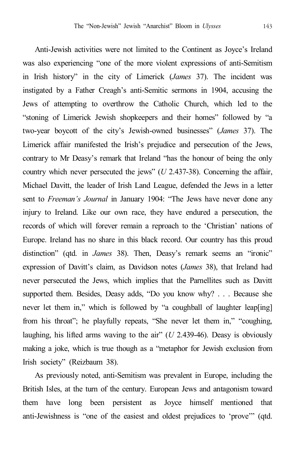Anti-Jewish activities were not limited to the Continent as Joyce's Ireland was also experiencing "one of the more violent expressions of anti-Semitism in Irish history" in the city of Limerick (*James* 37). The incident was instigated by a Father Creagh's anti-Semitic sermons in 1904, accusing the Jews of attempting to overthrow the Catholic Church, which led to the "stoning of Limerick Jewish shopkeepers and their homes" followed by "a two-year boycott of the city's Jewish-owned businesses" (*James* 37). The Limerick affair manifested the Irish's prejudice and persecution of the Jews, contrary to Mr Deasy's remark that Ireland "has the honour of being the only country which never persecuted the jews" (*U* 2.437-38). Concerning the affair, Michael Davitt, the leader of Irish Land League, defended the Jews in a letter sent to *Freeman's Journal* in January 1904: "The Jews have never done any injury to Ireland. Like our own race, they have endured a persecution, the records of which will forever remain a reproach to the 'Christian' nations of Europe. Ireland has no share in this black record. Our country has this proud distinction" (qtd. in *James* 38). Then, Deasy's remark seems an "ironic" expression of Davitt's claim, as Davidson notes (*James* 38), that Ireland had never persecuted the Jews, which implies that the Parnellites such as Davitt supported them. Besides, Deasy adds, "Do you know why? . . . Because she never let them in," which is followed by "a coughball of laughter leap[ing] from his throat"; he playfully repeats, "She never let them in," "coughing, laughing, his lifted arms waving to the air" (*U* 2.439-46). Deasy is obviously making a joke, which is true though as a "metaphor for Jewish exclusion from Irish society" (Reizbaum 38).

As previously noted, anti-Semitism was prevalent in Europe, including the British Isles, at the turn of the century. European Jews and antagonism toward them have long been persistent as Joyce himself mentioned that anti-Jewishness is "one of the easiest and oldest prejudices to 'prove'" (qtd.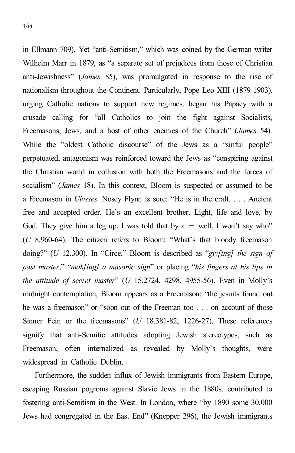in Ellmann 709). Yet "anti-Semitism," which was coined by the German writer Wilhelm Marr in 1879, as "a separate set of prejudices from those of Christian anti-Jewishness" (*James* 85), was promulgated in response to the rise of nationalism throughout the Continent. Particularly, Pope Leo XIII (1879-1903), urging Catholic nations to support new regimes, began his Papacy with a crusade calling for "all Catholics to join the fight against Socialists, Freemasons, Jews, and a host of other enemies of the Church" (*James* 54). While the "oldest Catholic discourse" of the Jews as a "sinful people" perpetuated, antagonism was reinforced toward the Jews as "conspiring against the Christian world in collusion with both the Freemasons and the forces of socialism" (*James* 18). In this context, Bloom is suspected or assumed to be a Freemason in *Ulysses*. Nosey Flynn is sure: "He is in the craft. . . . Ancient free and accepted order. He's an excellent brother. Light, life and love, by God. They give him a leg up. I was told that by  $a -$  well, I won't say who" (*U* 8.960-64). The citizen refers to Bloom: "What's that bloody freemason doing?" (*U* 12.300). In "Circe," Bloom is described as "*giv[ing] the sign of past master*," "*mak[ing] a masonic sign*" or placing "*his fingers at his lips in the attitude of secret master*" (*U* 15.2724, 4298, 4955-56). Even in Molly's midnight contemplation, Bloom appears as a Freemason: "the jesuits found out he was a freemason" or "soon out of the Freeman too . . . on account of those Sinner Fein or the freemasons" (*U* 18.381-82, 1226-27). These references signify that anti-Semitic attitudes adopting Jewish stereotypes, such as Freemason, often internalized as revealed by Molly's thoughts, were widespread in Catholic Dublin.

Furthermore, the sudden influx of Jewish immigrants from Eastern Europe, escaping Russian pogroms against Slavic Jews in the 1880s, contributed to fostering anti-Semitism in the West. In London, where "by 1890 some 30,000 Jews had congregated in the East End" (Knepper 296), the Jewish immigrants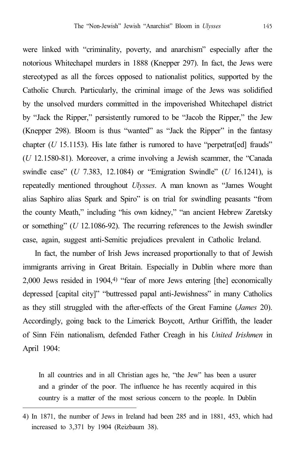were linked with "criminality, poverty, and anarchism" especially after the notorious Whitechapel murders in 1888 (Knepper 297). In fact, the Jews were stereotyped as all the forces opposed to nationalist politics, supported by the Catholic Church. Particularly, the criminal image of the Jews was solidified by the unsolved murders committed in the impoverished Whitechapel district by "Jack the Ripper," persistently rumored to be "Jacob the Ripper," the Jew (Knepper 298). Bloom is thus "wanted" as "Jack the Ripper" in the fantasy chapter (*U* 15.1153). His late father is rumored to have "perpetrated frauds" (*U* 12.1580-81). Moreover, a crime involving a Jewish scammer, the "Canada swindle case" (*U* 7.383, 12.1084) or "Emigration Swindle" (*U* 16.1241), is repeatedly mentioned throughout *Ulysses*. A man known as "James Wought alias Saphiro alias Spark and Spiro" is on trial for swindling peasants "from the county Meath," including "his own kidney," "an ancient Hebrew Zaretsky or something" (*U* 12.1086-92). The recurring references to the Jewish swindler case, again, suggest anti-Semitic prejudices prevalent in Catholic Ireland.

In fact, the number of Irish Jews increased proportionally to that of Jewish immigrants arriving in Great Britain. Especially in Dublin where more than 2,000 Jews resided in 1904, 4) "fear of more Jews entering [the] economically depressed [capital city]" "buttressed papal anti-Jewishness" in many Catholics as they still struggled with the after-effects of the Great Famine (*James* 20). Accordingly, going back to the Limerick Boycott, Arthur Griffith, the leader of Sinn Féin nationalism, defended Father Creagh in his *United Irishmen* in April 1904:

In all countries and in all Christian ages he, "the Jew" has been a usurer and a grinder of the poor. The influence he has recently acquired in this country is a matter of the most serious concern to the people. In Dublin

<sup>4)</sup> In 1871, the number of Jews in Ireland had been 285 and in 1881, 453, which had increased to 3,371 by 1904 (Reizbaum 38).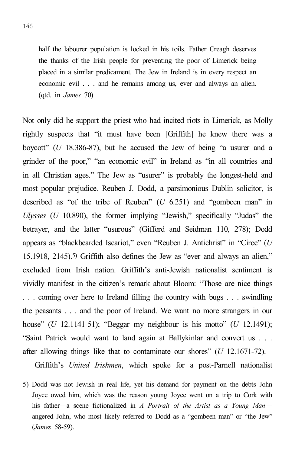half the labourer population is locked in his toils. Father Creagh deserves the thanks of the Irish people for preventing the poor of Limerick being placed in a similar predicament. The Jew in Ireland is in every respect an economic evil . . . and he remains among us, ever and always an alien. (qtd. in *James* 70)

Not only did he support the priest who had incited riots in Limerick, as Molly rightly suspects that "it must have been [Griffith] he knew there was a boycott" (*U* 18.386-87), but he accused the Jew of being "a usurer and a grinder of the poor," "an economic evil" in Ireland as "in all countries and in all Christian ages." The Jew as "usurer" is probably the longest-held and most popular prejudice. Reuben J. Dodd, a parsimonious Dublin solicitor, is described as "of the tribe of Reuben" (*U* 6.251) and "gombeen man" in *Ulysses* (*U* 10.890), the former implying "Jewish," specifically "Judas" the betrayer, and the latter "usurous" (Gifford and Seidman 110, 278); Dodd appears as "blackbearded Iscariot," even "Reuben J. Antichrist" in "Circe" (*U* 15.1918, 2145). 5) Griffith also defines the Jew as "ever and always an alien," excluded from Irish nation. Griffith's anti-Jewish nationalist sentiment is vividly manifest in the citizen's remark about Bloom: "Those are nice things . . . coming over here to Ireland filling the country with bugs . . . swindling the peasants . . . and the poor of Ireland. We want no more strangers in our house" (*U* 12.1141-51); "Beggar my neighbour is his motto" (*U* 12.1491); "Saint Patrick would want to land again at Ballykinlar and convert us . . . after allowing things like that to contaminate our shores" (*U* 12.1671-72).

Griffith's *United Irishmen*, which spoke for a post-Parnell nationalist

<sup>5)</sup> Dodd was not Jewish in real life, yet his demand for payment on the debts John Joyce owed him, which was the reason young Joyce went on a trip to Cork with his father—a scene fictionalized in *A Portrait of the Artist as a Young Man* angered John, who most likely referred to Dodd as a "gombeen man" or "the Jew" (*James* 58-59).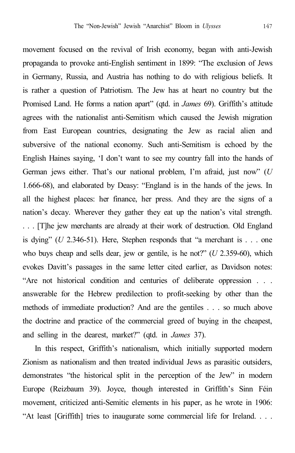movement focused on the revival of Irish economy, began with anti-Jewish propaganda to provoke anti-English sentiment in 1899: "The exclusion of Jews in Germany, Russia, and Austria has nothing to do with religious beliefs. It is rather a question of Patriotism. The Jew has at heart no country but the Promised Land. He forms a nation apart" (qtd. in *James* 69). Griffith's attitude agrees with the nationalist anti-Semitism which caused the Jewish migration from East European countries, designating the Jew as racial alien and subversive of the national economy. Such anti-Semitism is echoed by the English Haines saying, 'I don't want to see my country fall into the hands of German jews either. That's our national problem, I'm afraid, just now" (*U* 1.666-68), and elaborated by Deasy: "England is in the hands of the jews. In all the highest places: her finance, her press. And they are the signs of a nation's decay. Wherever they gather they eat up the nation's vital strength. . . . [T]he jew merchants are already at their work of destruction. Old England is dying" (*U* 2.346-51). Here, Stephen responds that "a merchant is . . . one who buys cheap and sells dear, jew or gentile, is he not?" (*U* 2.359-60), which evokes Davitt's passages in the same letter cited earlier, as Davidson notes: "Are not historical condition and centuries of deliberate oppression . . . answerable for the Hebrew predilection to profit-seeking by other than the methods of immediate production? And are the gentiles . . . so much above the doctrine and practice of the commercial greed of buying in the cheapest, and selling in the dearest, market?" (qtd. in *James* 37).

In this respect, Griffith's nationalism, which initially supported modern Zionism as nationalism and then treated individual Jews as parasitic outsiders, demonstrates "the historical split in the perception of the Jew" in modern Europe (Reizbaum 39). Joyce, though interested in Griffith's Sinn Féin movement, criticized anti-Semitic elements in his paper, as he wrote in 1906: "At least [Griffith] tries to inaugurate some commercial life for Ireland. . . .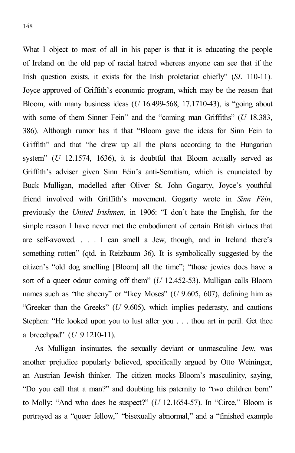What I object to most of all in his paper is that it is educating the people of Ireland on the old pap of racial hatred whereas anyone can see that if the Irish question exists, it exists for the Irish proletariat chiefly" (*SL* 110-11). Joyce approved of Griffith's economic program, which may be the reason that Bloom, with many business ideas (*U* 16.499-568, 17.1710-43), is "going about with some of them Sinner Fein" and the "coming man Griffiths" (*U* 18.383, 386). Although rumor has it that "Bloom gave the ideas for Sinn Fein to Griffith" and that "he drew up all the plans according to the Hungarian system" (*U* 12.1574, 1636), it is doubtful that Bloom actually served as Griffith's adviser given Sinn Féin's anti-Semitism, which is enunciated by Buck Mulligan, modelled after Oliver St. John Gogarty, Joyce's youthful friend involved with Griffith's movement. Gogarty wrote in *Sinn Féin*, previously the *United Irishmen*, in 1906: "I don't hate the English, for the simple reason I have never met the embodiment of certain British virtues that are self-avowed. . . . I can smell a Jew, though, and in Ireland there's something rotten" (qtd. in Reizbaum 36). It is symbolically suggested by the citizen's "old dog smelling [Bloom] all the time"; "those jewies does have a sort of a queer odour coming off them" (*U* 12.452-53). Mulligan calls Bloom names such as "the sheeny" or "Ikey Moses" (*U* 9.605, 607), defining him as "Greeker than the Greeks" (*U* 9.605), which implies pederasty, and cautions Stephen: "He looked upon you to lust after you . . . thou art in peril. Get thee a breechpad" (*U* 9.1210-11).

As Mulligan insinuates, the sexually deviant or unmasculine Jew, was another prejudice popularly believed, specifically argued by Otto Weininger, an Austrian Jewish thinker. The citizen mocks Bloom's masculinity, saying, "Do you call that a man?" and doubting his paternity to "two children born" to Molly: "And who does he suspect?" (*U* 12.1654-57). In "Circe," Bloom is portrayed as a "queer fellow," "bisexually abnormal," and a "finished example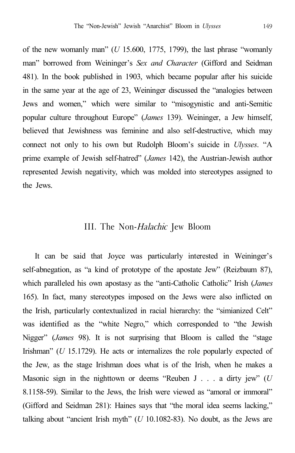of the new womanly man" (*U* 15.600, 1775, 1799), the last phrase "womanly man" borrowed from Weininger's *Sex and Character* (Gifford and Seidman 481). In the book published in 1903, which became popular after his suicide in the same year at the age of 23, Weininger discussed the "analogies between Jews and women," which were similar to "misogynistic and anti-Semitic popular culture throughout Europe" (*James* 139). Weininger, a Jew himself, believed that Jewishness was feminine and also self-destructive, which may connect not only to his own but Rudolph Bloom's suicide in *Ulysses*. "A prime example of Jewish self-hatred" (*James* 142), the Austrian-Jewish author represented Jewish negativity, which was molded into stereotypes assigned to the Jews.

#### III. The Non-Halachic Jew Bloom

It can be said that Joyce was particularly interested in Weininger's self-abnegation, as "a kind of prototype of the apostate Jew" (Reizbaum 87), which paralleled his own apostasy as the "anti-Catholic Catholic" Irish (*James* 165). In fact, many stereotypes imposed on the Jews were also inflicted on the Irish, particularly contextualized in racial hierarchy: the "simianized Celt" was identified as the "white Negro," which corresponded to "the Jewish Nigger" (*James* 98). It is not surprising that Bloom is called the "stage Irishman" (*U* 15.1729). He acts or internalizes the role popularly expected of the Jew, as the stage Irishman does what is of the Irish, when he makes a Masonic sign in the nighttown or deems "Reuben J . . . a dirty jew" (*U* 8.1158-59). Similar to the Jews, the Irish were viewed as "amoral or immoral" (Gifford and Seidman 281): Haines says that "the moral idea seems lacking," talking about "ancient Irish myth" (*U* 10.1082-83). No doubt, as the Jews are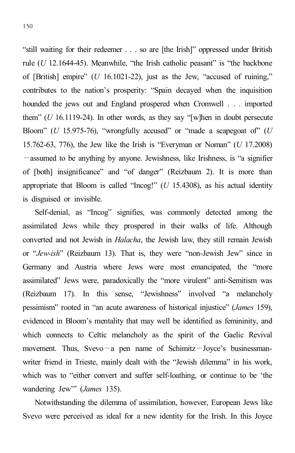"still waiting for their redeemer . . . so are [the Irish]" oppressed under British rule (*U* 12.1644-45). Meanwhile, "the Irish catholic peasant" is "the backbone of [British] empire" (*U* 16.1021-22), just as the Jew, "accused of ruining," contributes to the nation's prosperity: "Spain decayed when the inquisition hounded the jews out and England prospered when Cromwell . . . imported them" (*U* 16.1119-24). In other words, as they say "[w]hen in doubt persecute Bloom" (*U* 15.975-76), "wrongfully accused" or "made a scapegoat of" (*U* 15.762-63, 776), the Jew like the Irish is "Everyman or Noman" (*U* 17.2008) —assumed to be anything by anyone. Jewishness, like Irishness, is "a signifier of [both] insignificance" and "of danger" (Reizbaum 2). It is more than appropriate that Bloom is called "Incog!" (*U* 15.4308), as his actual identity is disguised or invisible.

Self-denial, as "Incog" signifies, was commonly detected among the assimilated Jews while they prospered in their walks of life. Although converted and not Jewish in *Halacha*, the Jewish law, they still remain Jewish or "*Jew-ish*" (Reizbaum 13). That is, they were "non-Jewish Jew" since in Germany and Austria where Jews were most emancipated, the "more assimilated" Jews were, paradoxically the "more virulent" anti-Semitism was (Reizbaum 17). In this sense, "Jewishness" involved "a melancholy pessimism" rooted in "an acute awareness of historical injustice" (*James* 159), evidenced in Bloom's mentality that may well be identified as femininity, and which connects to Celtic melancholy as the spirit of the Gaelic Revival movement. Thus, Svevo – a pen name of Schimitz – Joyce's businessmanwriter friend in Trieste, mainly dealt with the "Jewish dilemma" in his work, which was to "either convert and suffer self-loathing, or continue to be 'the wandering Jew'" (*James* 135).

Notwithstanding the dilemma of assimilation, however, European Jews like Svevo were perceived as ideal for a new identity for the Irish. In this Joyce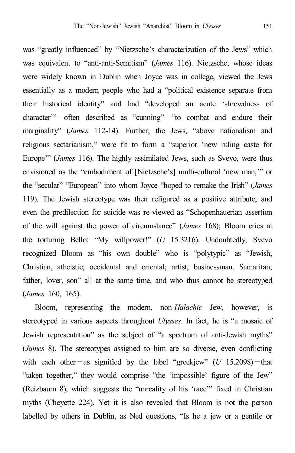was "greatly influenced" by "Nietzsche's characterization of the Jews" which was equivalent to "anti-anti-Semitism" (*James* 116). Nietzsche, whose ideas were widely known in Dublin when Joyce was in college, viewed the Jews essentially as a modern people who had a "political existence separate from their historical identity" and had "developed an acute 'shrewdness of character'"—often described as "cunning"—"to combat and endure their marginality" (*James* 112-14). Further, the Jews, "above nationalism and religious sectarianism," were fit to form a "superior 'new ruling caste for Europe'" (*James* 116). The highly assimilated Jews, such as Svevo, were thus envisioned as the "embodiment of [Nietzsche's] multi-cultural 'new man,'" or the "secular" "European" into whom Joyce "hoped to remake the Irish" (*James* 119). The Jewish stereotype was then refigured as a positive attribute, and even the predilection for suicide was re-viewed as "Schopenhauerian assertion of the will against the power of circumstance" (*James* 168); Bloom cries at the torturing Bello: "My willpower!" (*U* 15.3216). Undoubtedly, Svevo recognized Bloom as "his own double" who is "polytypic" as "Jewish, Christian, atheistic; occidental and oriental; artist, businessman, Samaritan; father, lover, son" all at the same time, and who thus cannot be stereotyped (*James* 160, 165).

Bloom, representing the modern, non-*Halachic* Jew, however, is stereotyped in various aspects throughout *Ulysses*. In fact, he is "a mosaic of Jewish representation" as the subject of "a spectrum of anti-Jewish myths" (*James* 8). The stereotypes assigned to him are so diverse, even conflicting with each other—as signified by the label "greekjew" (*U* 15.2098)—that "taken together," they would comprise "the 'impossible' figure of the Jew" (Reizbaum 8), which suggests the "unreality of his 'race'" fixed in Christian myths (Cheyette 224). Yet it is also revealed that Bloom is not the person labelled by others in Dublin, as Ned questions, "Is he a jew or a gentile or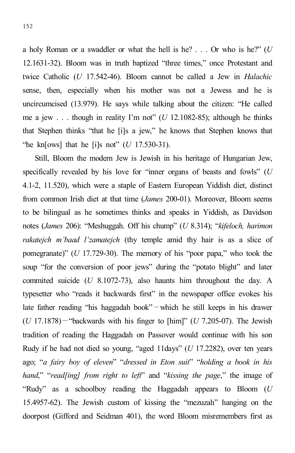a holy Roman or a swaddler or what the hell is he? . . . Or who is he?" (*U* 12.1631-32). Bloom was in truth baptized "three times," once Protestant and twice Catholic (*U* 17.542-46). Bloom cannot be called a Jew in *Halachic* sense, then, especially when his mother was not a Jewess and he is uncircumcised (13.979). He says while talking about the citizen: "He called me a jew . . . though in reality I'm not"  $(U 12.1082-85)$ ; although he thinks that Stephen thinks "that he [i]s a jew," he knows that Stephen knows that "he kn[ows] that he [i]s not" (*U* 17.530-31).

Still, Bloom the modern Jew is Jewish in his heritage of Hungarian Jew, specifically revealed by his love for "inner organs of beasts and fowls" (*U* 4.1-2, 11.520), which were a staple of Eastern European Yiddish diet, distinct from common Irish diet at that time (*James* 200-01). Moreover, Bloom seems to be bilingual as he sometimes thinks and speaks in Yiddish, as Davidson notes (*James* 206): "Meshuggah. Off his chump" (*U* 8.314); "*kifeloch, harimon rakatejch m'baad l'zamatejch* (thy temple amid thy hair is as a slice of pomegranate)" (*U* 17.729-30). The memory of his "poor papa," who took the soup "for the conversion of poor jews" during the "potato blight" and later commited suicide (*U* 8.1072-73), also haunts him throughout the day. A typesetter who "reads it backwards first" in the newspaper office evokes his late father reading "his haggadah book"—which he still keeps in his drawer  $(U 17.1878)$  – "backwards with his finger to [him]"  $(U 7.205-07)$ . The Jewish tradition of reading the Haggadah on Passover would continue with his son Rudy if he had not died so young, "aged 11days" (*U* 17.2282), over ten years ago; "*a fairy boy of eleven*" "*dressed in Eton suit*" "*holding a book in his hand*," "*read[ing] from right to left*" and "*kissing the page*," the image of "Rudy" as a schoolboy reading the Haggadah appears to Bloom (*U* 15.4957-62). The Jewish custom of kissing the "mezuzah" hanging on the doorpost (Gifford and Seidman 401), the word Bloom misremembers first as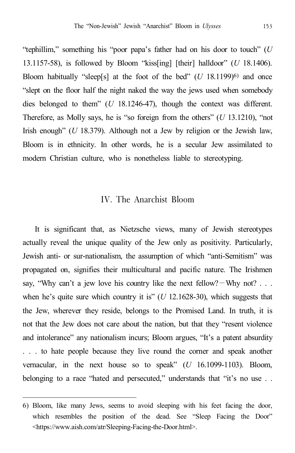"tephillim," something his "poor papa's father had on his door to touch" (*U* 13.1157-58), is followed by Bloom "kiss[ing] [their] halldoor" (*U* 18.1406). Bloom habitually "sleep[s] at the foot of the bed" (*U* 18.1199) 6) and once "slept on the floor half the night naked the way the jews used when somebody dies belonged to them" (*U* 18.1246-47), though the context was different. Therefore, as Molly says, he is "so foreign from the others" (*U* 13.1210), "not Irish enough" (*U* 18.379). Although not a Jew by religion or the Jewish law, Bloom is in ethnicity. In other words, he is a secular Jew assimilated to modern Christian culture, who is nonetheless liable to stereotyping.

# IV. The Anarchist Bloom

It is significant that, as Nietzsche views, many of Jewish stereotypes actually reveal the unique quality of the Jew only as positivity. Particularly, Jewish anti- or sur-nationalism, the assumption of which "anti-Semitism" was propagated on, signifies their multicultural and pacific nature. The Irishmen say, "Why can't a jew love his country like the next fellow?  $-Why$  not? . . . when he's quite sure which country it is" (*U* 12.1628-30), which suggests that the Jew, wherever they reside, belongs to the Promised Land. In truth, it is not that the Jew does not care about the nation, but that they "resent violence and intolerance" any nationalism incurs; Bloom argues, "It's a patent absurdity . . . to hate people because they live round the corner and speak another vernacular, in the next house so to speak" (*U* 16.1099-1103). Bloom, belonging to a race "hated and persecuted," understands that "it's no use . .

<sup>6)</sup> Bloom, like many Jews, seems to avoid sleeping with his feet facing the door, which resembles the position of the dead. See "Sleep Facing the Door" <https://www.aish.com/atr/Sleeping-Facing-the-Door.html>.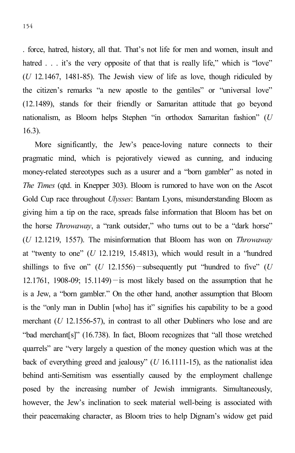. force, hatred, history, all that. That's not life for men and women, insult and hatred . . . it's the very opposite of that that is really life," which is "love" (*U* 12.1467, 1481-85). The Jewish view of life as love, though ridiculed by the citizen's remarks "a new apostle to the gentiles" or "universal love" (12.1489), stands for their friendly or Samaritan attitude that go beyond nationalism, as Bloom helps Stephen "in orthodox Samaritan fashion" (*U* 16.3).

More significantly, the Jew's peace-loving nature connects to their pragmatic mind, which is pejoratively viewed as cunning, and inducing money-related stereotypes such as a usurer and a "born gambler" as noted in *The Times* (qtd. in Knepper 303). Bloom is rumored to have won on the Ascot Gold Cup race throughout *Ulysses*: Bantam Lyons, misunderstanding Bloom as giving him a tip on the race, spreads false information that Bloom has bet on the horse *Throwaway*, a "rank outsider," who turns out to be a "dark horse" (*U* 12.1219, 1557). The misinformation that Bloom has won on *Throwaway* at "twenty to one" (*U* 12.1219, 15.4813), which would result in a "hundred shillings to five on" (*U* 12.1556)—subsequently put "hundred to five" (*U* 12.1761, 1908-09; 15.1149)—is most likely based on the assumption that he is a Jew, a "born gambler." On the other hand, another assumption that Bloom is the "only man in Dublin [who] has it" signifies his capability to be a good merchant (*U* 12.1556-57), in contrast to all other Dubliners who lose and are "bad merchant[s]" (16.738). In fact, Bloom recognizes that "all those wretched quarrels" are "very largely a question of the money question which was at the back of everything greed and jealousy" (*U* 16.1111-15), as the nationalist idea behind anti-Semitism was essentially caused by the employment challenge posed by the increasing number of Jewish immigrants. Simultaneously, however, the Jew's inclination to seek material well-being is associated with their peacemaking character, as Bloom tries to help Dignam's widow get paid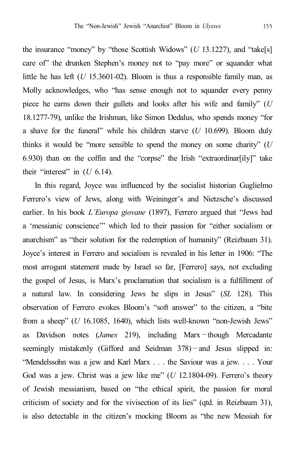the insurance "money" by "those Scottish Widows" (*U* 13.1227), and "take[s] care of" the drunken Stephen's money not to "pay more" or squander what little he has left (*U* 15.3601-02). Bloom is thus a responsible family man, as Molly acknowledges, who "has sense enough not to squander every penny piece he earns down their gullets and looks after his wife and family" (*U* 18.1277-79), unlike the Irishman, like Simon Dedalus, who spends money "for a shave for the funeral" while his children starve (*U* 10.699). Bloom duly thinks it would be "more sensible to spend the money on some charity" (*U* 6.930) than on the coffin and the "corpse" the Irish "extraordinar[ily]" take their "interest" in  $(U \t 6.14)$ .

In this regard, Joyce was influenced by the socialist historian Guglielmo Ferrero's view of Jews, along with Weininger's and Nietzsche's discussed earlier. In his book *L'Europa giovane* (1897), Ferrero argued that "Jews had a 'messianic conscience'" which led to their passion for "either socialism or anarchism" as "their solution for the redemption of humanity" (Reizbaum 31). Joyce's interest in Ferrero and socialism is revealed in his letter in 1906: "The most arrogant statement made by Israel so far, [Ferrero] says, not excluding the gospel of Jesus, is Marx's proclamation that socialism is a fulfillment of a natural law. In considering Jews he slips in Jesus" (*SL* 128). This observation of Ferrero evokes Bloom's "soft answer" to the citizen, a "bite from a sheep" (*U* 16.1085, 1640), which lists well-known "non-Jewish Jews" as Davidson notes (*James* 219), including Marx—though Mercadante seemingly mistakenly (Gifford and Seidman 378)—and Jesus slipped in: "Mendelssohn was a jew and Karl Marx . . . the Saviour was a jew. . . . Your God was a jew. Christ was a jew like me" (*U* 12.1804-09). Ferrero's theory of Jewish messianism, based on "the ethical spirit, the passion for moral criticism of society and for the vivisection of its lies" (qtd. in Reizbaum 31), is also detectable in the citizen's mocking Bloom as "the new Messiah for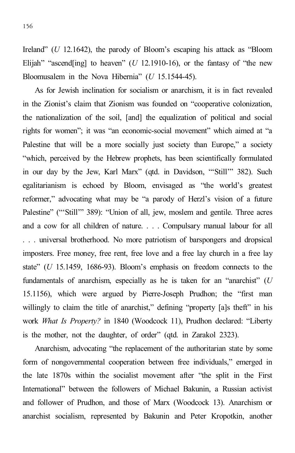Ireland" (*U* 12.1642), the parody of Bloom's escaping his attack as "Bloom Elijah" "ascend<sup>[ing]</sup> to heaven" ( $U$  12.1910-16), or the fantasy of "the new Bloomusalem in the Nova Hibernia" (*U* 15.1544-45).

As for Jewish inclination for socialism or anarchism, it is in fact revealed in the Zionist's claim that Zionism was founded on "cooperative colonization, the nationalization of the soil, [and] the equalization of political and social rights for women"; it was "an economic-social movement" which aimed at "a Palestine that will be a more socially just society than Europe," a society "which, perceived by the Hebrew prophets, has been scientifically formulated in our day by the Jew, Karl Marx" (qtd. in Davidson, "'Still'" 382). Such egalitarianism is echoed by Bloom, envisaged as "the world's greatest reformer," advocating what may be "a parody of Herzl's vision of a future Palestine" ("'Still'" 389): "Union of all, jew, moslem and gentile. Three acres and a cow for all children of nature. . . . Compulsary manual labour for all . . . universal brotherhood. No more patriotism of barspongers and dropsical imposters. Free money, free rent, free love and a free lay church in a free lay state" (*U* 15.1459, 1686-93). Bloom's emphasis on freedom connects to the fundamentals of anarchism, especially as he is taken for an "anarchist" (*U* 15.1156), which were argued by Pierre-Joseph Prudhon; the "first man willingly to claim the title of anarchist," defining "property [a]s theft" in his work *What Is Property?* in 1840 (Woodcock 11), Prudhon declared: "Liberty is the mother, not the daughter, of order" (qtd. in Zarakol 2323).

Anarchism, advocating "the replacement of the authoritarian state by some form of nongovernmental cooperation between free individuals," emerged in the late 1870s within the socialist movement after "the split in the First International" between the followers of Michael Bakunin, a Russian activist and follower of Prudhon, and those of Marx (Woodcock 13). Anarchism or anarchist socialism, represented by Bakunin and Peter Kropotkin, another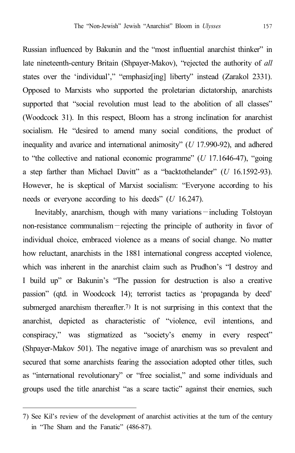Russian influenced by Bakunin and the "most influential anarchist thinker" in late nineteenth-century Britain (Shpayer-Makov), "rejected the authority of *all* states over the 'individual'," "emphasiz[ing] liberty" instead (Zarakol 2331). Opposed to Marxists who supported the proletarian dictatorship, anarchists supported that "social revolution must lead to the abolition of all classes" (Woodcock 31). In this respect, Bloom has a strong inclination for anarchist socialism. He "desired to amend many social conditions, the product of inequality and avarice and international animosity" (*U* 17.990-92), and adhered to "the collective and national economic programme" (*U* 17.1646-47), "going a step farther than Michael Davitt" as a "backtothelander" (*U* 16.1592-93). However, he is skeptical of Marxist socialism: "Everyone according to his needs or everyone according to his deeds" (*U* 16.247).

Inevitably, anarchism, though with many variations—including Tolstoyan non-resistance communalism—rejecting the principle of authority in favor of individual choice, embraced violence as a means of social change. No matter how reluctant, anarchists in the 1881 international congress accepted violence, which was inherent in the anarchist claim such as Prudhon's "I destroy and I build up" or Bakunin's "The passion for destruction is also a creative passion" (qtd. in Woodcock 14); terrorist tactics as 'propaganda by deed' submerged anarchism thereafter.<sup>7)</sup> It is not surprising in this context that the anarchist, depicted as characteristic of "violence, evil intentions, and conspiracy," was stigmatized as "society's enemy in every respect" (Shpayer-Makov 501). The negative image of anarchism was so prevalent and secured that some anarchists fearing the association adopted other titles, such as "international revolutionary" or "free socialist," and some individuals and groups used the title anarchist "as a scare tactic" against their enemies, such

<sup>7)</sup> See Kil's review of the development of anarchist activities at the turn of the century in "The Sham and the Fanatic" (486-87).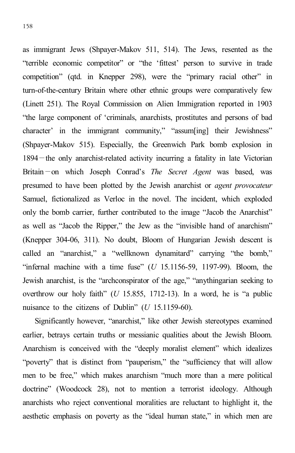as immigrant Jews (Shpayer-Makov 511, 514). The Jews, resented as the "terrible economic competitor" or "the 'fittest' person to survive in trade competition" (qtd. in Knepper 298), were the "primary racial other" in turn-of-the-century Britain where other ethnic groups were comparatively few (Linett 251). The Royal Commission on Alien Immigration reported in 1903 "the large component of 'criminals, anarchists, prostitutes and persons of bad character' in the immigrant community," "assum[ing] their Jewishness" (Shpayer-Makov 515). Especially, the Greenwich Park bomb explosion in 1894—the only anarchist-related activity incurring a fatality in late Victorian Britain—on which Joseph Conrad's *The Secret Agent* was based, was presumed to have been plotted by the Jewish anarchist or *agent provocateur* Samuel, fictionalized as Verloc in the novel. The incident, which exploded only the bomb carrier, further contributed to the image "Jacob the Anarchist" as well as "Jacob the Ripper," the Jew as the "invisible hand of anarchism" (Knepper 304-06, 311). No doubt, Bloom of Hungarian Jewish descent is called an "anarchist," a "wellknown dynamitard" carrying "the bomb," "infernal machine with a time fuse"  $(U 15.1156-59, 1197-99)$ . Bloom, the Jewish anarchist, is the "archconspirator of the age," "anythingarian seeking to overthrow our holy faith" (*U* 15.855, 1712-13). In a word, he is "a public nuisance to the citizens of Dublin" (*U* 15.1159-60).

Significantly however, "anarchist," like other Jewish stereotypes examined earlier, betrays certain truths or messianic qualities about the Jewish Bloom. Anarchism is conceived with the "deeply moralist element" which idealizes "poverty" that is distinct from "pauperism," the "sufficiency that will allow men to be free," which makes anarchism "much more than a mere political doctrine" (Woodcock 28), not to mention a terrorist ideology. Although anarchists who reject conventional moralities are reluctant to highlight it, the aesthetic emphasis on poverty as the "ideal human state," in which men are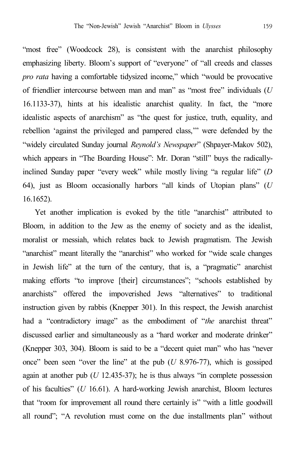"most free" (Woodcock 28), is consistent with the anarchist philosophy emphasizing liberty. Bloom's support of "everyone" of "all creeds and classes *pro rata* having a comfortable tidysized income," which "would be provocative of friendlier intercourse between man and man" as "most free" individuals (*U* 16.1133-37), hints at his idealistic anarchist quality. In fact, the "more idealistic aspects of anarchism" as "the quest for justice, truth, equality, and rebellion 'against the privileged and pampered class,'" were defended by the "widely circulated Sunday journal *Reynold's Newspaper*" (Shpayer-Makov 502), which appears in "The Boarding House": Mr. Doran "still" buys the radicallyinclined Sunday paper "every week" while mostly living "a regular life" (*D* 64), just as Bloom occasionally harbors "all kinds of Utopian plans" (*U* 16.1652).

Yet another implication is evoked by the title "anarchist" attributed to Bloom, in addition to the Jew as the enemy of society and as the idealist, moralist or messiah, which relates back to Jewish pragmatism. The Jewish "anarchist" meant literally the "anarchist" who worked for "wide scale changes in Jewish life" at the turn of the century, that is, a "pragmatic" anarchist making efforts "to improve [their] circumstances"; "schools established by anarchists" offered the impoverished Jews "alternatives" to traditional instruction given by rabbis (Knepper 301). In this respect, the Jewish anarchist had a "contradictory image" as the embodiment of "*the* anarchist threat" discussed earlier and simultaneously as a "hard worker and moderate drinker" (Knepper 303, 304). Bloom is said to be a "decent quiet man" who has "never once" been seen "over the line" at the pub (*U* 8.976-77), which is gossiped again at another pub  $(U 12.435-37)$ ; he is thus always "in complete possession of his faculties" (*U* 16.61). A hard-working Jewish anarchist, Bloom lectures that "room for improvement all round there certainly is" "with a little goodwill all round"; "A revolution must come on the due installments plan" without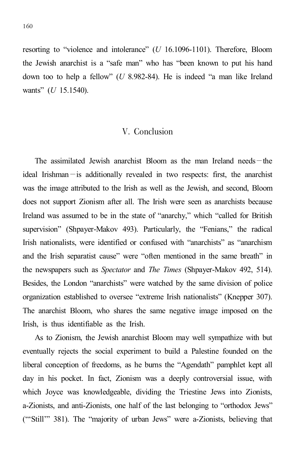resorting to "violence and intolerance" (*U* 16.1096-1101). Therefore, Bloom the Jewish anarchist is a "safe man" who has "been known to put his hand down too to help a fellow" (*U* 8.982-84). He is indeed "a man like Ireland wants" (*U* 15.1540).

### V. Conclusion

The assimilated Jewish anarchist Bloom as the man Ireland needs—the ideal Irishman—is additionally revealed in two respects: first, the anarchist was the image attributed to the Irish as well as the Jewish, and second, Bloom does not support Zionism after all. The Irish were seen as anarchists because Ireland was assumed to be in the state of "anarchy," which "called for British supervision" (Shpayer-Makov 493). Particularly, the "Fenians," the radical Irish nationalists, were identified or confused with "anarchists" as "anarchism and the Irish separatist cause" were "often mentioned in the same breath" in the newspapers such as *Spectator* and *The Times* (Shpayer-Makov 492, 514). Besides, the London "anarchists" were watched by the same division of police organization established to oversee "extreme Irish nationalists" (Knepper 307). The anarchist Bloom, who shares the same negative image imposed on the Irish, is thus identifiable as the Irish.

As to Zionism, the Jewish anarchist Bloom may well sympathize with but eventually rejects the social experiment to build a Palestine founded on the liberal conception of freedoms, as he burns the "Agendath" pamphlet kept all day in his pocket. In fact, Zionism was a deeply controversial issue, with which Joyce was knowledgeable, dividing the Triestine Jews into Zionists, a-Zionists, and anti-Zionists, one half of the last belonging to "orthodox Jews" ("'Still'" 381). The "majority of urban Jews" were a-Zionists, believing that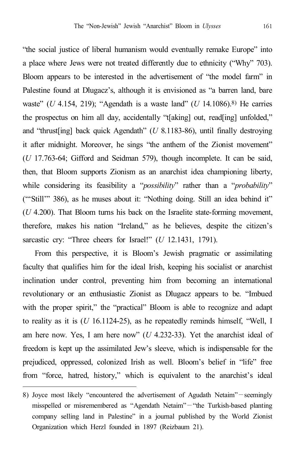"the social justice of liberal humanism would eventually remake Europe" into a place where Jews were not treated differently due to ethnicity ("Why" 703). Bloom appears to be interested in the advertisement of "the model farm" in Palestine found at Dlugacz's, although it is envisioned as "a barren land, bare waste" (*U* 4.154, 219); "Agendath is a waste land" (*U* 14.1086). 8) He carries the prospectus on him all day, accidentally "t[aking] out, read[ing] unfolded," and "thrust[ing] back quick Agendath" (*U* 8.1183-86), until finally destroying it after midnight. Moreover, he sings "the anthem of the Zionist movement" (*U* 17.763-64; Gifford and Seidman 579), though incomplete. It can be said, then, that Bloom supports Zionism as an anarchist idea championing liberty, while considering its feasibility a "*possibility*" rather than a "*probability*" ("'Still'" 386), as he muses about it: "Nothing doing. Still an idea behind it" (*U* 4.200). That Bloom turns his back on the Israelite state-forming movement, therefore, makes his nation "Ireland," as he believes, despite the citizen's sarcastic cry: "Three cheers for Israel!" (*U* 12.1431, 1791).

From this perspective, it is Bloom's Jewish pragmatic or assimilating faculty that qualifies him for the ideal Irish, keeping his socialist or anarchist inclination under control, preventing him from becoming an international revolutionary or an enthusiastic Zionist as Dlugacz appears to be. "Imbued with the proper spirit," the "practical" Bloom is able to recognize and adapt to reality as it is (*U* 16.1124-25), as he repeatedly reminds himself, "Well, I am here now. Yes, I am here now" (*U* 4.232-33). Yet the anarchist ideal of freedom is kept up the assimilated Jew's sleeve, which is indispensable for the prejudiced, oppressed, colonized Irish as well. Bloom's belief in "life" free from "force, hatred, history," which is equivalent to the anarchist's ideal

<sup>8)</sup> Joyce most likely "encountered the advertisement of Agudath Netaim"—seemingly misspelled or misremembered as "Agendath Netaim"—"the Turkish-based planting company selling land in Palestine" in a journal published by the World Zionist Organization which Herzl founded in 1897 (Reizbaum 21).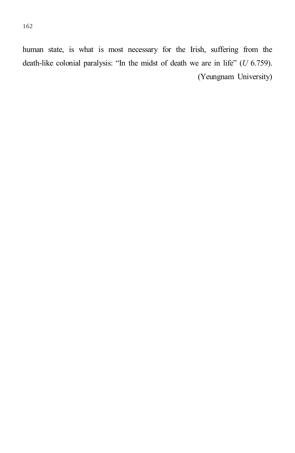human state, is what is most necessary for the Irish, suffering from the death-like colonial paralysis: "In the midst of death we are in life" (*U* 6.759). (Yeungnam University)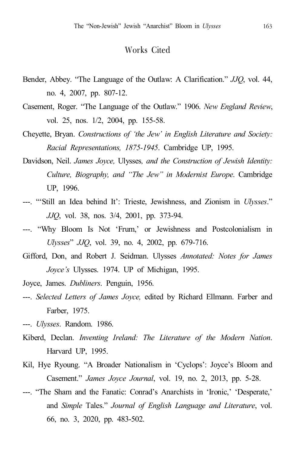#### Works Cited

- Bender, Abbey. "The Language of the Outlaw: A Clarification." *JJQ*, vol. 44, no. 4, 2007, pp. 807-12.
- Casement, Roger. "The Language of the Outlaw." 1906. *New England Review*, vol. 25, nos. 1/2, 2004, pp. 155-58.
- Cheyette, Bryan. *Constructions of 'the Jew' in English Literature and Society: Racial Representations, 1875-1945*. Cambridge UP, 1995.
- Davidson, Neil. *James Joyce,* Ulysses*, and the Construction of Jewish Identity: Culture, Biography, and "The Jew" in Modernist Europe*. Cambridge UP, 1996.
- ---. "'Still an Idea behind It': Trieste, Jewishness, and Zionism in *Ulysses*." *JJQ*, vol. 38, nos. 3/4, 2001, pp. 373-94.
- ---. "Why Bloom Is Not 'Frum,' or Jewishness and Postcolonialism in *Ulysses*" *JJQ*, vol. 39, no. 4, 2002, pp. 679-716.
- Gifford, Don, and Robert J. Seidman. Ulysses *Annotated: Notes for James Joyce's* Ulysses. 1974. UP of Michigan, 1995.
- Joyce, James. *Dubliners*. Penguin, 1956.
- ---. *Selected Letters of James Joyce,* edited by Richard Ellmann. Farber and Farber, 1975.
- ---. *Ulysses*. Random. 1986.
- Kiberd, Declan. *Inventing Ireland: The Literature of the Modern Nation*. Harvard UP, 1995.
- Kil, Hye Ryoung. "A Broader Nationalism in 'Cyclops': Joyce's Bloom and Casement." *James Joyce Journal*, vol. 19, no. 2, 2013, pp. 5-28.
- ---. "The Sham and the Fanatic: Conrad's Anarchists in 'Ironic,' 'Desperate,' and *Simple* Tales." *Journal of English Language and Literature*, vol. 66, no. 3, 2020, pp. 483-502.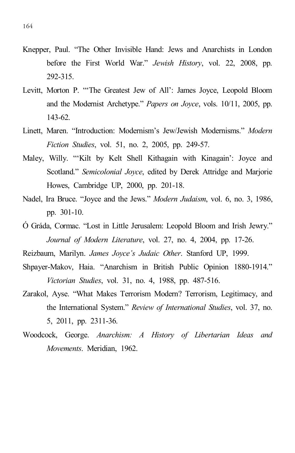- Knepper, Paul. "The Other Invisible Hand: Jews and Anarchists in London before the First World War." *Jewish History*, vol. 22, 2008, pp. 292-315.
- Levitt, Morton P. "'The Greatest Jew of All': James Joyce, Leopold Bloom and the Modernist Archetype." *Papers on Joyce*, vols. 10/11, 2005, pp. 143-62.
- Linett, Maren. "Introduction: Modernism's Jew/Jewish Modernisms." *Modern Fiction Studies*, vol. 51, no. 2, 2005, pp. 249-57.
- Maley, Willy. "'Kilt by Kelt Shell Kithagain with Kinagain': Joyce and Scotland." *Semicolonial Joyce*, edited by Derek Attridge and Marjorie Howes, Cambridge UP, 2000, pp. 201-18.
- Nadel, Ira Bruce. "Joyce and the Jews." *Modern Judaism*, vol. 6, no. 3, 1986, pp. 301-10.
- Ó Gráda, Cormac. "Lost in Little Jerusalem: Leopold Bloom and Irish Jewry." *Journal of Modern Literature*, vol. 27, no. 4, 2004, pp. 17-26.
- Reizbaum, Marilyn. *James Joyce's Judaic Other*. Stanford UP, 1999.
- Shpayer-Makov, Haia. "Anarchism in British Public Opinion 1880-1914." *Victorian Studies*, vol. 31, no. 4, 1988, pp. 487-516.
- Zarakol, Ayse. "What Makes Terrorism Modern? Terrorism, Legitimacy, and the International System." *Review of International Studies*, vol. 37, no. 5, 2011, pp. 2311-36.
- Woodcock, George. *Anarchism: A History of Libertarian Ideas and Movements*. Meridian, 1962.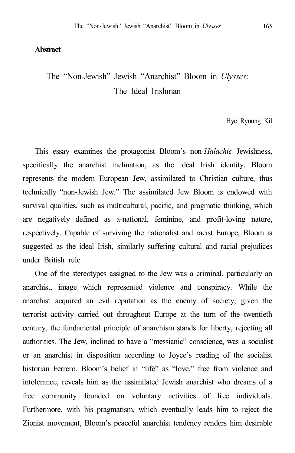#### **Abstract**

# The "Non-Jewish" Jewish "Anarchist" Bloom in *Ulysses*: The Ideal Irishman

Hye Ryoung Kil

This essay examines the protagonist Bloom's non-*Halachic* Jewishness, specifically the anarchist inclination, as the ideal Irish identity. Bloom represents the modern European Jew, assimilated to Christian culture, thus technically "non-Jewish Jew." The assimilated Jew Bloom is endowed with survival qualities, such as multicultural, pacific, and pragmatic thinking, which are negatively defined as a-national, feminine, and profit-loving nature, respectively. Capable of surviving the nationalist and racist Europe, Bloom is suggested as the ideal Irish, similarly suffering cultural and racial prejudices under British rule.

One of the stereotypes assigned to the Jew was a criminal, particularly an anarchist, image which represented violence and conspiracy. While the anarchist acquired an evil reputation as the enemy of society, given the terrorist activity carried out throughout Europe at the turn of the twentieth century, the fundamental principle of anarchism stands for liberty, rejecting all authorities. The Jew, inclined to have a "messianic" conscience, was a socialist or an anarchist in disposition according to Joyce's reading of the socialist historian Ferrero. Bloom's belief in "life" as "love," free from violence and intolerance, reveals him as the assimilated Jewish anarchist who dreams of a free community founded on voluntary activities of free individuals. Furthermore, with his pragmatism, which eventually leads him to reject the Zionist movement, Bloom's peaceful anarchist tendency renders him desirable